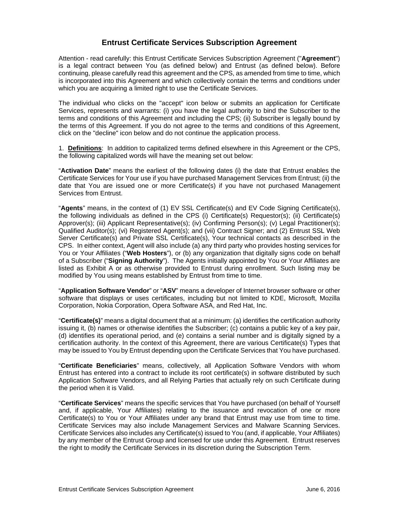# **Entrust Certificate Services Subscription Agreement**

Attention - read carefully: this Entrust Certificate Services Subscription Agreement ("**Agreement**") is a legal contract between You (as defined below) and Entrust (as defined below). Before continuing, please carefully read this agreement and the CPS, as amended from time to time, which is incorporated into this Agreement and which collectively contain the terms and conditions under which you are acquiring a limited right to use the Certificate Services.

The individual who clicks on the "accept" icon below or submits an application for Certificate Services, represents and warrants: (i) you have the legal authority to bind the Subscriber to the terms and conditions of this Agreement and including the CPS; (ii) Subscriber is legally bound by the terms of this Agreement. If you do not agree to the terms and conditions of this Agreement, click on the "decline" icon below and do not continue the application process.

1. **Definitions**: In addition to capitalized terms defined elsewhere in this Agreement or the CPS, the following capitalized words will have the meaning set out below:

"**Activation Date**" means the earliest of the following dates (i) the date that Entrust enables the Certificate Services for Your use if you have purchased Management Services from Entrust; (ii) the date that You are issued one or more Certificate(s) if you have not purchased Management Services from Entrust.

"**Agents**" means, in the context of (1) EV SSL Certificate(s) and EV Code Signing Certificate(s), the following individuals as defined in the CPS (i) Certificate(s) Requestor(s); (ii) Certificate(s) Approver(s); (iii) Applicant Representative(s); (iv) Confirming Person(s); (v) Legal Practitioner(s); Qualified Auditor(s); (vi) Registered Agent(s); and (vii) Contract Signer; and (2) Entrust SSL Web Server Certificate(s) and Private SSL Certificate(s), Your technical contacts as described in the CPS. In either context, Agent will also include (a) any third party who provides hosting services for You or Your Affiliates ("**Web Hosters**"), or (b) any organization that digitally signs code on behalf of a Subscriber ("**Signing Authority**"). The Agents initially appointed by You or Your Affiliates are listed as Exhibit A or as otherwise provided to Entrust during enrollment. Such listing may be modified by You using means established by Entrust from time to time.

"**Application Software Vendor**" or "**ASV**" means a developer of Internet browser software or other software that displays or uses certificates, including but not limited to KDE, Microsoft, Mozilla Corporation, Nokia Corporation, Opera Software ASA, and Red Hat, Inc.

"**Certificate(s)**" means a digital document that at a minimum: (a) identifies the certification authority issuing it, (b) names or otherwise identifies the Subscriber; (c) contains a public key of a key pair, (d) identifies its operational period, and (e) contains a serial number and is digitally signed by a certification authority. In the context of this Agreement, there are various Certificate(s) Types that may be issued to You by Entrust depending upon the Certificate Services that You have purchased.

"**Certificate Beneficiaries**" means, collectively, all Application Software Vendors with whom Entrust has entered into a contract to include its root certificate(s) in software distributed by such Application Software Vendors, and all Relying Parties that actually rely on such Certificate during the period when it is Valid.

"**Certificate Services**" means the specific services that You have purchased (on behalf of Yourself and, if applicable, Your Affiliates) relating to the issuance and revocation of one or more Certificate(s) to You or Your Affiliates under any brand that Entrust may use from time to time. Certificate Services may also include Management Services and Malware Scanning Services. Certificate Services also includes any Certificate(s) issued to You (and, if applicable, Your Affiliates) by any member of the Entrust Group and licensed for use under this Agreement. Entrust reserves the right to modify the Certificate Services in its discretion during the Subscription Term.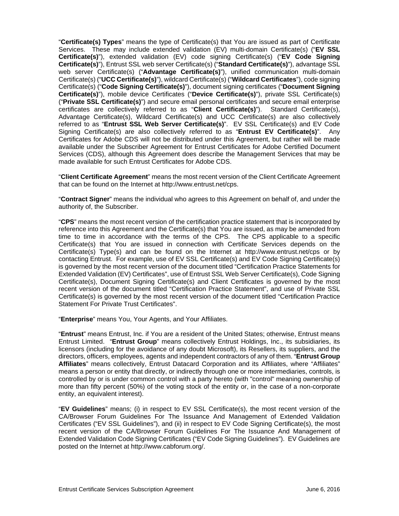"**Certificate(s) Types**" means the type of Certificate(s) that You are issued as part of Certificate Services. These may include extended validation (EV) multi-domain Certificate(s) ("**EV SSL Certificate(s)**"), extended validation (EV) code signing Certificate(s) ("**EV Code Signing Certificate(s)**"), Entrust SSL web server Certificate(s) ("**Standard Certificate(s)**"), advantage SSL web server Certificate(s) ("**Advantage Certificate(s)**"), unified communication multi-domain Certificate(s) ("**UCC Certificate(s)**"), wildcard Certificate(s) ("**Wildcard Certificates**"), code signing Certificate(s) ("**Code Signing Certificate(s)**"), document signing certificates ("**Document Signing Certificate(s)**"), mobile device Certificates ("**Device Certificate(s)**"), private SSL Certificate(s) ("**Private SSL Certificate(s)**") and secure email personal certificates and secure email enterprise certificates are collectively referred to as "**Client Certificate(s)**"). Standard Certificate(s), Advantage Certificate(s), Wildcard Certificate(s) and UCC Certificate(s) are also collectively referred to as "**Entrust SSL Web Server Certificate(s)**". EV SSL Certificate(s) and EV Code Signing Certificate(s) are also collectively referred to as "**Entrust EV Certificate(s)**". Any Certificates for Adobe CDS will not be distributed under this Agreement, but rather will be made available under the Subscriber Agreement for Entrust Certificates for Adobe Certified Document Services (CDS), although this Agreement does describe the Management Services that may be made available for such Entrust Certificates for Adobe CDS.

"**Client Certificate Agreement**" means the most recent version of the Client Certificate Agreement that can be found on the Internet at http://www.entrust.net/cps.

"**Contract Signer**" means the individual who agrees to this Agreement on behalf of, and under the authority of, the Subscriber.

"**CPS**" means the most recent version of the certification practice statement that is incorporated by reference into this Agreement and the Certificate(s) that You are issued, as may be amended from time to time in accordance with the terms of the CPS. The CPS applicable to a specific Certificate(s) that You are issued in connection with Certificate Services depends on the Certificate(s) Type(s) and can be found on the Internet at http://www.entrust.net/cps or by contacting Entrust. For example, use of EV SSL Certificate(s) and EV Code Signing Certificate(s) is governed by the most recent version of the document titled "Certification Practice Statements for Extended Validation (EV) Certificates", use of Entrust SSL Web Server Certificate(s), Code Signing Certificate(s), Document Signing Certificate(s) and Client Certificates is governed by the most recent version of the document titled "Certification Practice Statement", and use of Private SSL Certificate(s) is governed by the most recent version of the document titled "Certification Practice Statement For Private Trust Certificates".

"**Enterprise**" means You, Your Agents, and Your Affiliates.

"**Entrust**" means Entrust, Inc. if You are a resident of the United States; otherwise, Entrust means Entrust Limited. "**Entrust Group**" means collectively Entrust Holdings, Inc., its subsidiaries, its licensors (including for the avoidance of any doubt Microsoft), its Resellers, its suppliers, and the directors, officers, employees, agents and independent contractors of any of them. "**Entrust Group Affiliates**" means collectively, Entrust Datacard Corporation and its Affiliates, where "Affiliates" means a person or entity that directly, or indirectly through one or more intermediaries, controls, is controlled by or is under common control with a party hereto (with "control" meaning ownership of more than fifty percent (50%) of the voting stock of the entity or, in the case of a non-corporate entity, an equivalent interest).

"**EV Guidelines**" means; (i) in respect to EV SSL Certificate(s), the most recent version of the CA/Browser Forum Guidelines For The Issuance And Management of Extended Validation Certificates ("EV SSL Guidelines"), and (ii) in respect to EV Code Signing Certificate(s), the most recent version of the CA/Browser Forum Guidelines For The Issuance And Management of Extended Validation Code Signing Certificates ("EV Code Signing Guidelines"). EV Guidelines are posted on the Internet at http://www.cabforum.org/.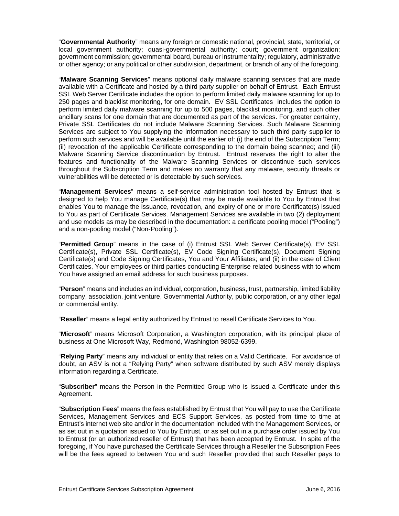"**Governmental Authority**" means any foreign or domestic national, provincial, state, territorial, or local government authority; quasi-governmental authority; court; government organization; government commission; governmental board, bureau or instrumentality; regulatory, administrative or other agency; or any political or other subdivision, department, or branch of any of the foregoing.

"**Malware Scanning Services**" means optional daily malware scanning services that are made available with a Certificate and hosted by a third party supplier on behalf of Entrust. Each Entrust SSL Web Server Certificate includes the option to perform limited daily malware scanning for up to 250 pages and blacklist monitoring, for one domain. EV SSL Certificates includes the option to perform limited daily malware scanning for up to 500 pages, blacklist monitoring, and such other ancillary scans for one domain that are documented as part of the services. For greater certainty, Private SSL Certificates do not include Malware Scanning Services. Such Malware Scanning Services are subject to You supplying the information necessary to such third party supplier to perform such services and will be available until the earlier of: (i) the end of the Subscription Term; (ii) revocation of the applicable Certificate corresponding to the domain being scanned; and (iii) Malware Scanning Service discontinuation by Entrust. Entrust reserves the right to alter the features and functionality of the Malware Scanning Services or discontinue such services throughout the Subscription Term and makes no warranty that any malware, security threats or vulnerabilities will be detected or is detectable by such services.

"**Management Services**" means a self-service administration tool hosted by Entrust that is designed to help You manage Certificate(s) that may be made available to You by Entrust that enables You to manage the issuance, revocation, and expiry of one or more Certificate(s) issued to You as part of Certificate Services. Management Services are available in two (2) deployment and use models as may be described in the documentation: a certificate pooling model ("Pooling") and a non-pooling model ("Non-Pooling").

"**Permitted Group**" means in the case of (i) Entrust SSL Web Server Certificate(s), EV SSL Certificate(s), Private SSL Certificate(s), EV Code Signing Certificate(s), Document Signing Certificate(s) and Code Signing Certificates, You and Your Affiliates; and (ii) in the case of Client Certificates, Your employees or third parties conducting Enterprise related business with to whom You have assigned an email address for such business purposes.

"**Person**" means and includes an individual, corporation, business, trust, partnership, limited liability company, association, joint venture, Governmental Authority, public corporation, or any other legal or commercial entity.

"**Reseller**" means a legal entity authorized by Entrust to resell Certificate Services to You.

"**Microsoft**" means Microsoft Corporation, a Washington corporation, with its principal place of business at One Microsoft Way, Redmond, Washington 98052-6399.

"**Relying Party**" means any individual or entity that relies on a Valid Certificate. For avoidance of doubt, an ASV is not a "Relying Party" when software distributed by such ASV merely displays information regarding a Certificate.

"**Subscriber**" means the Person in the Permitted Group who is issued a Certificate under this Agreement.

"**Subscription Fees**" means the fees established by Entrust that You will pay to use the Certificate Services, Management Services and ECS Support Services, as posted from time to time at Entrust's internet web site and/or in the documentation included with the Management Services, or as set out in a quotation issued to You by Entrust, or as set out in a purchase order issued by You to Entrust (or an authorized reseller of Entrust) that has been accepted by Entrust. In spite of the foregoing, if You have purchased the Certificate Services through a Reseller the Subscription Fees will be the fees agreed to between You and such Reseller provided that such Reseller pays to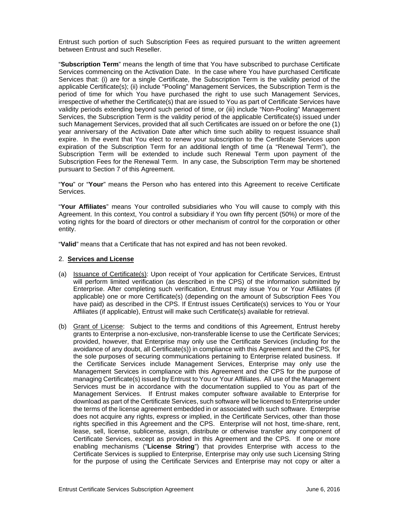Entrust such portion of such Subscription Fees as required pursuant to the written agreement between Entrust and such Reseller.

"**Subscription Term**" means the length of time that You have subscribed to purchase Certificate Services commencing on the Activation Date. In the case where You have purchased Certificate Services that: (i) are for a single Certificate, the Subscription Term is the validity period of the applicable Certificate(s); (ii) include "Pooling" Management Services, the Subscription Term is the period of time for which You have purchased the right to use such Management Services, irrespective of whether the Certificate(s) that are issued to You as part of Certificate Services have validity periods extending beyond such period of time, or (iii) include "Non-Pooling" Management Services, the Subscription Term is the validity period of the applicable Certificate(s) issued under such Management Services, provided that all such Certificates are issued on or before the one (1) year anniversary of the Activation Date after which time such ability to request issuance shall expire. In the event that You elect to renew your subscription to the Certificate Services upon expiration of the Subscription Term for an additional length of time (a "Renewal Term"), the Subscription Term will be extended to include such Renewal Term upon payment of the Subscription Fees for the Renewal Term. In any case, the Subscription Term may be shortened pursuant to Section 7 of this Agreement.

"**You**" or "**Your**" means the Person who has entered into this Agreement to receive Certificate Services.

"**Your Affiliates**" means Your controlled subsidiaries who You will cause to comply with this Agreement. In this context, You control a subsidiary if You own fifty percent (50%) or more of the voting rights for the board of directors or other mechanism of control for the corporation or other entity.

"**Valid**" means that a Certificate that has not expired and has not been revoked.

#### 2. **Services and License**

- (a) Issuance of Certificate(s): Upon receipt of Your application for Certificate Services, Entrust will perform limited verification (as described in the CPS) of the information submitted by Enterprise. After completing such verification, Entrust may issue You or Your Affiliates (if applicable) one or more Certificate(s) (depending on the amount of Subscription Fees You have paid) as described in the CPS. If Entrust issues Certificate(s) services to You or Your Affiliates (if applicable), Entrust will make such Certificate(s) available for retrieval.
- (b) Grant of License: Subject to the terms and conditions of this Agreement, Entrust hereby grants to Enterprise a non-exclusive, non-transferable license to use the Certificate Services; provided, however, that Enterprise may only use the Certificate Services (including for the avoidance of any doubt, all Certificate(s)) in compliance with this Agreement and the CPS, for the sole purposes of securing communications pertaining to Enterprise related business. If the Certificate Services include Management Services, Enterprise may only use the Management Services in compliance with this Agreement and the CPS for the purpose of managing Certificate(s) issued by Entrust to You or Your Affiliates. All use of the Management Services must be in accordance with the documentation supplied to You as part of the Management Services. If Entrust makes computer software available to Enterprise for download as part of the Certificate Services, such software will be licensed to Enterprise under the terms of the license agreement embedded in or associated with such software. Enterprise does not acquire any rights, express or implied, in the Certificate Services, other than those rights specified in this Agreement and the CPS. Enterprise will not host, time-share, rent, lease, sell, license, sublicense, assign, distribute or otherwise transfer any component of Certificate Services, except as provided in this Agreement and the CPS. If one or more enabling mechanisms ("**License String**") that provides Enterprise with access to the Certificate Services is supplied to Enterprise, Enterprise may only use such Licensing String for the purpose of using the Certificate Services and Enterprise may not copy or alter a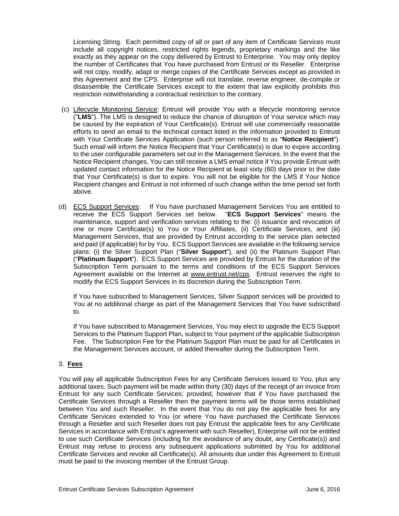Licensing String. Each permitted copy of all or part of any item of Certificate Services must include all copyright notices, restricted rights legends, proprietary markings and the like exactly as they appear on the copy delivered by Entrust to Enterprise. You may only deploy the number of Certificates that You have purchased from Entrust or its Reseller. Enterprise will not copy, modify, adapt or merge copies of the Certificate Services except as provided in this Agreement and the CPS. Enterprise will not translate, reverse engineer, de-compile or disassemble the Certificate Services except to the extent that law explicitly prohibits this restriction notwithstanding a contractual restriction to the contrary.

- (c) Lifecycle Monitoring Service: Entrust will provide You with a lifecycle monitoring service ("**LMS**"). The LMS is designed to reduce the chance of disruption of Your service which may be caused by the expiration of Your Certificate(s). Entrust will use commercially reasonable efforts to send an email to the technical contact listed in the information provided to Entrust with Your Certificate Services Application (such person referred to as "**Notice Recipient**"). Such email will inform the Notice Recipient that Your Certificate(s) is due to expire according to the user configurable parameters set out in the Management Services. In the event that the Notice Recipient changes, You can still receive a LMS email notice if You provide Entrust with updated contact information for the Notice Recipient at least sixty (60) days prior to the date that Your Certificate(s) is due to expire. You will not be eligible for the LMS if Your Notice Recipient changes and Entrust is not informed of such change within the time period set forth above.
- (d) ECS Support Services: If You have purchased Management Services You are entitled to receive the ECS Support Services set below. "**ECS Support Services**" means the maintenance, support and verification services relating to the: (i) issuance and revocation of one or more Certificate(s) to You or Your Affiliates, (ii) Certificate Services, and (iii) Management Services, that are provided by Entrust according to the service plan selected and paid (if applicable) for by You. ECS Support Services are available in the following service plans: (i) the Silver Support Plan ("**Silver Support**"), and (ii) the Platinum Support Plan ("**Platinum Support**"). ECS Support Services are provided by Entrust for the duration of the Subscription Term pursuant to the terms and conditions of the ECS Support Services Agreement available on the Internet at www.entrust.net/cps. Entrust reserves the right to modify the ECS Support Services in its discretion during the Subscription Term.

If You have subscribed to Management Services, Silver Support services will be provided to You at no additional charge as part of the Management Services that You have subscribed to.

If You have subscribed to Management Services, You may elect to upgrade the ECS Support Services to the Platinum Support Plan, subject to Your payment of the applicable Subscription Fee. The Subscription Fee for the Platinum Support Plan must be paid for all Certificates in the Management Services account, or added thereafter during the Subscription Term.

# 3. **Fees**

You will pay all applicable Subscription Fees for any Certificate Services issued to You, plus any additional taxes. Such payment will be made within thirty (30) days of the receipt of an invoice from Entrust for any such Certificate Services; provided, however that if You have purchased the Certificate Services through a Reseller then the payment terms will be those terms established between You and such Reseller. In the event that You do not pay the applicable fees for any Certificate Services extended to You (or where You have purchased the Certificate Services through a Reseller and such Reseller does not pay Entrust the applicable fees for any Certificate Services in accordance with Entrust's agreement with such Reseller), Enterprise will not be entitled to use such Certificate Services (including for the avoidance of any doubt, any Certificate(s)) and Entrust may refuse to process any subsequent applications submitted by You for additional Certificate Services and revoke all Certificate(s). All amounts due under this Agreement to Entrust must be paid to the invoicing member of the Entrust Group.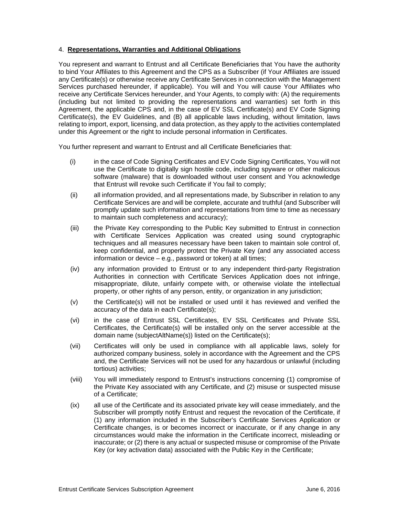### 4. **Representations, Warranties and Additional Obligations**

You represent and warrant to Entrust and all Certificate Beneficiaries that You have the authority to bind Your Affiliates to this Agreement and the CPS as a Subscriber (if Your Affiliates are issued any Certificate(s) or otherwise receive any Certificate Services in connection with the Management Services purchased hereunder, if applicable). You will and You will cause Your Affiliates who receive any Certificate Services hereunder, and Your Agents, to comply with: (A) the requirements (including but not limited to providing the representations and warranties) set forth in this Agreement, the applicable CPS and, in the case of EV SSL Certificate(s) and EV Code Signing Certificate(s), the EV Guidelines, and (B) all applicable laws including, without limitation, laws relating to import, export, licensing, and data protection, as they apply to the activities contemplated under this Agreement or the right to include personal information in Certificates.

You further represent and warrant to Entrust and all Certificate Beneficiaries that:

- (i) in the case of Code Signing Certificates and EV Code Signing Certificates, You will not use the Certificate to digitally sign hostile code, including spyware or other malicious software (malware) that is downloaded without user consent and You acknowledge that Entrust will revoke such Certificate if You fail to comply;
- (ii) all information provided, and all representations made, by Subscriber in relation to any Certificate Services are and will be complete, accurate and truthful (and Subscriber will promptly update such information and representations from time to time as necessary to maintain such completeness and accuracy);
- (iii) the Private Key corresponding to the Public Key submitted to Entrust in connection with Certificate Services Application was created using sound cryptographic techniques and all measures necessary have been taken to maintain sole control of, keep confidential, and properly protect the Private Key (and any associated access information or device – e.g., password or token) at all times;
- (iv) any information provided to Entrust or to any independent third-party Registration Authorities in connection with Certificate Services Application does not infringe, misappropriate, dilute, unfairly compete with, or otherwise violate the intellectual property, or other rights of any person, entity, or organization in any jurisdiction;
- (v) the Certificate(s) will not be installed or used until it has reviewed and verified the accuracy of the data in each Certificate(s);
- (vi) in the case of Entrust SSL Certificates, EV SSL Certificates and Private SSL Certificates, the Certificate(s) will be installed only on the server accessible at the domain name (subjectAltName(s)) listed on the Certificate(s);
- (vii) Certificates will only be used in compliance with all applicable laws, solely for authorized company business, solely in accordance with the Agreement and the CPS and, the Certificate Services will not be used for any hazardous or unlawful (including tortious) activities;
- (viii) You will immediately respond to Entrust's instructions concerning (1) compromise of the Private Key associated with any Certificate, and (2) misuse or suspected misuse of a Certificate;
- (ix) all use of the Certificate and its associated private key will cease immediately, and the Subscriber will promptly notify Entrust and request the revocation of the Certificate, if (1) any information included in the Subscriber's Certificate Services Application or Certificate changes, is or becomes incorrect or inaccurate, or if any change in any circumstances would make the information in the Certificate incorrect, misleading or inaccurate; or (2) there is any actual or suspected misuse or compromise of the Private Key (or key activation data) associated with the Public Key in the Certificate;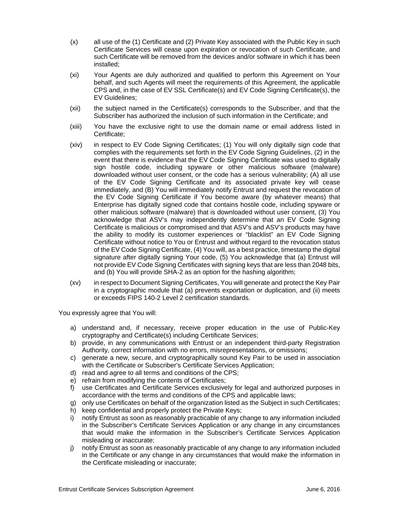- (x) all use of the (1) Certificate and (2) Private Key associated with the Public Key in such Certificate Services will cease upon expiration or revocation of such Certificate, and such Certificate will be removed from the devices and/or software in which it has been installed;
- (xi) Your Agents are duly authorized and qualified to perform this Agreement on Your behalf, and such Agents will meet the requirements of this Agreement, the applicable CPS and, in the case of EV SSL Certificate(s) and EV Code Signing Certificate(s), the EV Guidelines;
- (xii) the subject named in the Certificate(s) corresponds to the Subscriber, and that the Subscriber has authorized the inclusion of such information in the Certificate; and
- (xiii) You have the exclusive right to use the domain name or email address listed in Certificate;
- (xiv) in respect to EV Code Signing Certificates; (1) You will only digitally sign code that complies with the requirements set forth in the EV Code Signing Guidelines, (2) in the event that there is evidence that the EV Code Signing Certificate was used to digitally sign hostile code, including spyware or other malicious software (malware) downloaded without user consent, or the code has a serious vulnerability; (A) all use of the EV Code Signing Certificate and its associated private key will cease immediately, and (B) You will immediately notify Entrust and request the revocation of the EV Code Signing Certificate if You become aware (by whatever means) that Enterprise has digitally signed code that contains hostile code, including spyware or other malicious software (malware) that is downloaded without user consent, (3) You acknowledge that ASV's may independently determine that an EV Code Signing Certificate is malicious or compromised and that ASV's and ASV's products may have the ability to modify its customer experiences or "blacklist" an EV Code Signing Certificate without notice to You or Entrust and without regard to the revocation status of the EV Code Signing Certificate, (4) You will, as a best practice, timestamp the digital signature after digitally signing Your code, (5) You acknowledge that (a) Entrust will not provide EV Code Signing Certificates with signing keys that are less than 2048 bits, and (b) You will provide SHA-2 as an option for the hashing algorithm;
- (xv) in respect to Document Signing Certificates, You will generate and protect the Key Pair in a cryptographic module that (a) prevents exportation or duplication, and (ii) meets or exceeds FIPS 140-2 Level 2 certification standards.

You expressly agree that You will:

- a) understand and, if necessary, receive proper education in the use of Public-Key cryptography and Certificate(s) including Certificate Services;
- b) provide, in any communications with Entrust or an independent third-party Registration Authority, correct information with no errors, misrepresentations, or omissions;
- c) generate a new, secure, and cryptographically sound Key Pair to be used in association with the Certificate or Subscriber's Certificate Services Application;
- d) read and agree to all terms and conditions of the CPS;
- e) refrain from modifying the contents of Certificates;
- f) use Certificates and Certificate Services exclusively for legal and authorized purposes in accordance with the terms and conditions of the CPS and applicable laws;
- g) only use Certificates on behalf of the organization listed as the Subject in such Certificates;
- h) keep confidential and properly protect the Private Keys;
- i) notify Entrust as soon as reasonably practicable of any change to any information included in the Subscriber's Certificate Services Application or any change in any circumstances that would make the information in the Subscriber's Certificate Services Application misleading or inaccurate;
- j) notify Entrust as soon as reasonably practicable of any change to any information included in the Certificate or any change in any circumstances that would make the information in the Certificate misleading or inaccurate;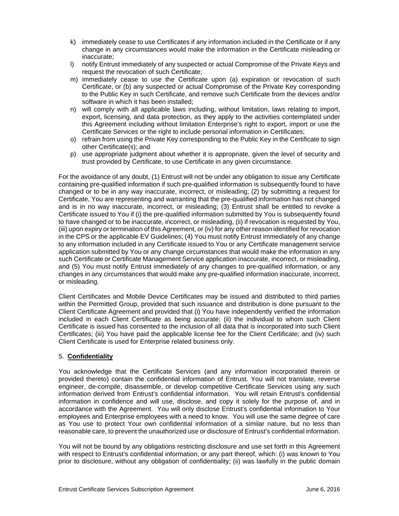- k) immediately cease to use Certificates if any information included in the Certificate or if any change in any circumstances would make the information in the Certificate misleading or inaccurate;
- l) notify Entrust immediately of any suspected or actual Compromise of the Private Keys and request the revocation of such Certificate;
- m) immediately cease to use the Certificate upon (a) expiration or revocation of such Certificate, or (b) any suspected or actual Compromise of the Private Key corresponding to the Public Key in such Certificate, and remove such Certificate from the devices and/or software in which it has been installed;
- n) will comply with all applicable laws including, without limitation, laws relating to import, export, licensing, and data protection, as they apply to the activities contemplated under this Agreement including without limitation Enterprise's right to export, import or use the Certificate Services or the right to include personal information in Certificates;
- o) refrain from using the Private Key corresponding to the Public Key in the Certificate to sign other Certificate(s); and
- p) use appropriate judgment about whether it is appropriate, given the level of security and trust provided by Certificate, to use Certificate in any given circumstance.

For the avoidance of any doubt, (1) Entrust will not be under any obligation to issue any Certificate containing pre-qualified information if such pre-qualified information is subsequently found to have changed or to be in any way inaccurate, incorrect, or misleading; (2) by submitting a request for Certificate, You are representing and warranting that the pre-qualified information has not changed and is in no way inaccurate, incorrect, or misleading; (3) Entrust shall be entitled to revoke a Certificate issued to You if (i) the pre-qualified information submitted by You is subsequently found to have changed or to be inaccurate, incorrect, or misleading, (ii) if revocation is requested by You, (iii) upon expiry or termination of this Agreement, or (iv) for any other reason identified for revocation in the CPS or the applicable EV Guidelines; (4) You must notify Entrust immediately of any change to any information included in any Certificate issued to You or any Certificate management service application submitted by You or any change circumstances that would make the information in any such Certificate or Certificate Management Service application inaccurate, incorrect, or misleading, and (5) You must notify Entrust immediately of any changes to pre-qualified information, or any changes in any circumstances that would make any pre-qualified information inaccurate, incorrect, or misleading.

Client Certificates and Mobile Device Certificates may be issued and distributed to third parties within the Permitted Group, provided that such issuance and distribution is done pursuant to the Client Certificate Agreement and provided that (i) You have independently verified the information included in each Client Certificate as being accurate; (ii) the individual to whom such Client Certificate is issued has consented to the inclusion of all data that is incorporated into such Client Certificates; (iii) You have paid the applicable license fee for the Client Certificate; and (iv) such Client Certificate is used for Enterprise related business only.

# 5. **Confidentiality**

You acknowledge that the Certificate Services (and any information incorporated therein or provided thereto) contain the confidential information of Entrust. You will not translate, reverse engineer, de-compile, disassemble, or develop competitive Certificate Services using any such information derived from Entrust's confidential information. You will retain Entrust's confidential information in confidence and will use, disclose, and copy it solely for the purpose of, and in accordance with the Agreement. You will only disclose Entrust's confidential information to Your employees and Enterprise employees with a need to know. You will use the same degree of care as You use to protect Your own confidential information of a similar nature, but no less than reasonable care, to prevent the unauthorized use or disclosure of Entrust's confidential information.

You will not be bound by any obligations restricting disclosure and use set forth in this Agreement with respect to Entrust's confidential information, or any part thereof, which: (i) was known to You prior to disclosure, without any obligation of confidentiality; (ii) was lawfully in the public domain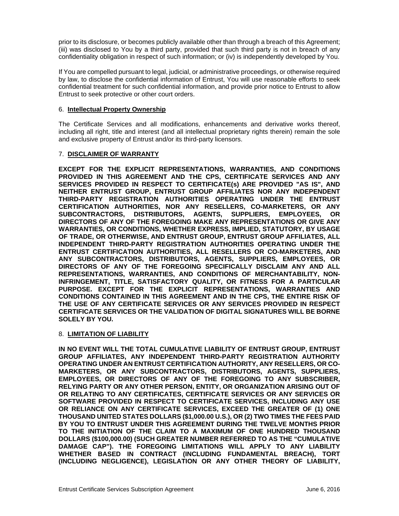prior to its disclosure, or becomes publicly available other than through a breach of this Agreement; (iii) was disclosed to You by a third party, provided that such third party is not in breach of any confidentiality obligation in respect of such information; or (iv) is independently developed by You.

If You are compelled pursuant to legal, judicial, or administrative proceedings, or otherwise required by law, to disclose the confidential information of Entrust, You will use reasonable efforts to seek confidential treatment for such confidential information, and provide prior notice to Entrust to allow Entrust to seek protective or other court orders.

### 6. **Intellectual Property Ownership**

The Certificate Services and all modifications, enhancements and derivative works thereof, including all right, title and interest (and all intellectual proprietary rights therein) remain the sole and exclusive property of Entrust and/or its third-party licensors.

## 7. **DISCLAIMER OF WARRANTY**

**EXCEPT FOR THE EXPLICIT REPRESENTATIONS, WARRANTIES, AND CONDITIONS PROVIDED IN THIS AGREEMENT AND THE CPS, CERTIFICATE SERVICES AND ANY SERVICES PROVIDED IN RESPECT TO CERTIFICATE(s) ARE PROVIDED "AS IS", AND NEITHER ENTRUST GROUP, ENTRUST GROUP AFFILIATES NOR ANY INDEPENDENT THIRD-PARTY REGISTRATION AUTHORITIES OPERATING UNDER THE ENTRUST CERTIFICATION AUTHORITIES, NOR ANY RESELLERS, CO-MARKETERS, OR ANY SUBCONTRACTORS, DISTRIBUTORS, AGENTS, SUPPLIERS, EMPLOYEES, OR DIRECTORS OF ANY OF THE FOREGOING MAKE ANY REPRESENTATIONS OR GIVE ANY WARRANTIES, OR CONDITIONS, WHETHER EXPRESS, IMPLIED, STATUTORY, BY USAGE OF TRADE, OR OTHERWISE, AND ENTRUST GROUP, ENTRUST GROUP AFFILIATES, ALL INDEPENDENT THIRD-PARTY REGISTRATION AUTHORITIES OPERATING UNDER THE ENTRUST CERTIFICATION AUTHORITIES, ALL RESELLERS OR CO-MARKETERS, AND ANY SUBCONTRACTORS, DISTRIBUTORS, AGENTS, SUPPLIERS, EMPLOYEES, OR DIRECTORS OF ANY OF THE FOREGOING SPECIFICALLY DISCLAIM ANY AND ALL REPRESENTATIONS, WARRANTIES, AND CONDITIONS OF MERCHANTABILITY, NON-INFRINGEMENT, TITLE, SATISFACTORY QUALITY, OR FITNESS FOR A PARTICULAR PURPOSE. EXCEPT FOR THE EXPLICIT REPRESENTATIONS, WARRANTIES AND CONDITIONS CONTAINED IN THIS AGREEMENT AND IN THE CPS, THE ENTIRE RISK OF THE USE OF ANY CERTIFICATE SERVICES OR ANY SERVICES PROVIDED IN RESPECT CERTIFICATE SERVICES OR THE VALIDATION OF DIGITAL SIGNATURES WILL BE BORNE SOLELY BY YOU.**

#### 8. **LIMITATION OF LIABILITY**

**IN NO EVENT WILL THE TOTAL CUMULATIVE LIABILITY OF ENTRUST GROUP, ENTRUST GROUP AFFILIATES, ANY INDEPENDENT THIRD-PARTY REGISTRATION AUTHORITY OPERATING UNDER AN ENTRUST CERTIFICATION AUTHORITY, ANY RESELLERS, OR CO-MARKETERS, OR ANY SUBCONTRACTORS, DISTRIBUTORS, AGENTS, SUPPLIERS, EMPLOYEES, OR DIRECTORS OF ANY OF THE FOREGOING TO ANY SUBSCRIBER, RELYING PARTY OR ANY OTHER PERSON, ENTITY, OR ORGANIZATION ARISING OUT OF OR RELATING TO ANY CERTIFICATES, CERTIFICATE SERVICES OR ANY SERVICES OR SOFTWARE PROVIDED IN RESPECT TO CERTIFICATE SERVICES, INCLUDING ANY USE OR RELIANCE ON ANY CERTIFICATE SERVICES, EXCEED THE GREATER OF (1) ONE THOUSAND UNITED STATES DOLLARS (\$1,000.00 U.S.), OR (2) TWO TIMES THE FEES PAID BY YOU TO ENTRUST UNDER THIS AGREEMENT DURING THE TWELVE MONTHS PRIOR TO THE INITIATION OF THE CLAIM TO A MAXIMUM OF ONE HUNDRED THOUSAND DOLLARS (\$100,000.00) (SUCH GREATER NUMBER REFERRED TO AS THE "CUMULATIVE DAMAGE CAP"). THE FOREGOING LIMITATIONS WILL APPLY TO ANY LIABILITY WHETHER BASED IN CONTRACT (INCLUDING FUNDAMENTAL BREACH), TORT (INCLUDING NEGLIGENCE), LEGISLATION OR ANY OTHER THEORY OF LIABILITY,**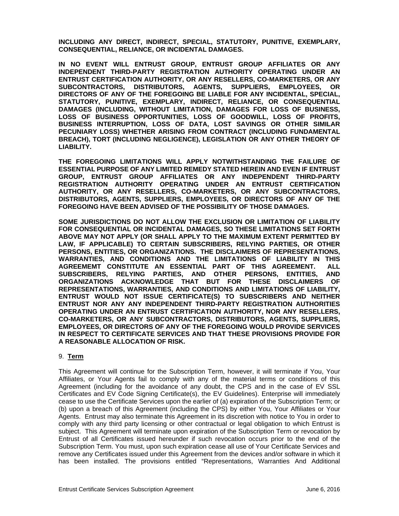**INCLUDING ANY DIRECT, INDIRECT, SPECIAL, STATUTORY, PUNITIVE, EXEMPLARY, CONSEQUENTIAL, RELIANCE, OR INCIDENTAL DAMAGES.** 

**IN NO EVENT WILL ENTRUST GROUP, ENTRUST GROUP AFFILIATES OR ANY INDEPENDENT THIRD-PARTY REGISTRATION AUTHORITY OPERATING UNDER AN ENTRUST CERTIFICATION AUTHORITY, OR ANY RESELLERS, CO-MARKETERS, OR ANY SUBCONTRACTORS, DISTRIBUTORS, AGENTS, SUPPLIERS, EMPLOYEES, OR DIRECTORS OF ANY OF THE FOREGOING BE LIABLE FOR ANY INCIDENTAL, SPECIAL, STATUTORY, PUNITIVE, EXEMPLARY, INDIRECT, RELIANCE, OR CONSEQUENTIAL DAMAGES (INCLUDING, WITHOUT LIMITATION, DAMAGES FOR LOSS OF BUSINESS, LOSS OF BUSINESS OPPORTUNITIES, LOSS OF GOODWILL, LOSS OF PROFITS, BUSINESS INTERRUPTION, LOSS OF DATA, LOST SAVINGS OR OTHER SIMILAR PECUNIARY LOSS) WHETHER ARISING FROM CONTRACT (INCLUDING FUNDAMENTAL BREACH), TORT (INCLUDING NEGLIGENCE), LEGISLATION OR ANY OTHER THEORY OF LIABILITY.** 

**THE FOREGOING LIMITATIONS WILL APPLY NOTWITHSTANDING THE FAILURE OF ESSENTIAL PURPOSE OF ANY LIMITED REMEDY STATED HEREIN AND EVEN IF ENTRUST GROUP, ENTRUST GROUP AFFILIATES OR ANY INDEPENDENT THIRD-PARTY REGISTRATION AUTHORITY OPERATING UNDER AN ENTRUST CERTIFICATION AUTHORITY, OR ANY RESELLERS, CO-MARKETERS, OR ANY SUBCONTRACTORS, DISTRIBUTORS, AGENTS, SUPPLIERS, EMPLOYEES, OR DIRECTORS OF ANY OF THE FOREGOING HAVE BEEN ADVISED OF THE POSSIBILITY OF THOSE DAMAGES.** 

**SOME JURISDICTIONS DO NOT ALLOW THE EXCLUSION OR LIMITATION OF LIABILITY FOR CONSEQUENTIAL OR INCIDENTAL DAMAGES, SO THESE LIMITATIONS SET FORTH ABOVE MAY NOT APPLY (OR SHALL APPLY TO THE MAXIMUM EXTENT PERMITTED BY LAW, IF APPLICABLE) TO CERTAIN SUBSCRIBERS, RELYING PARTIES, OR OTHER PERSONS, ENTITIES, OR ORGANIZATIONS. THE DISCLAIMERS OF REPRESENTATIONS, WARRANTIES, AND CONDITIONS AND THE LIMITATIONS OF LIABILITY IN THIS AGREEMEMT CONSTITUTE AN ESSENTIAL PART OF THIS AGREEMENT. ALL SUBSCRIBERS, RELYING PARTIES, AND OTHER PERSONS, ENTITIES, AND ORGANIZATIONS ACKNOWLEDGE THAT BUT FOR THESE DISCLAIMERS OF REPRESENTATIONS, WARRANTIES, AND CONDITIONS AND LIMITATIONS OF LIABILITY, ENTRUST WOULD NOT ISSUE CERTIFICATE(S) TO SUBSCRIBERS AND NEITHER ENTRUST NOR ANY ANY INDEPENDENT THIRD-PARTY REGISTRATION AUTHORITIES OPERATING UNDER AN ENTRUST CERTIFICATION AUTHORITY, NOR ANY RESELLERS, CO-MARKETERS, OR ANY SUBCONTRACTORS, DISTRIBUTORS, AGENTS, SUPPLIERS, EMPLOYEES, OR DIRECTORS OF ANY OF THE FOREGOING WOULD PROVIDE SERVICES IN RESPECT TO CERTIFICATE SERVICES AND THAT THESE PROVISIONS PROVIDE FOR A REASONABLE ALLOCATION OF RISK.** 

#### 9. **Term**

This Agreement will continue for the Subscription Term, however, it will terminate if You, Your Affiliates, or Your Agents fail to comply with any of the material terms or conditions of this Agreement (including for the avoidance of any doubt, the CPS and in the case of EV SSL Certificates and EV Code Signing Certificate(s), the EV Guidelines). Enterprise will immediately cease to use the Certificate Services upon the earlier of (a) expiration of the Subscription Term; or (b) upon a breach of this Agreement (including the CPS) by either You, Your Affiliates or Your Agents. Entrust may also terminate this Agreement in its discretion with notice to You in order to comply with any third party licensing or other contractual or legal obligation to which Entrust is subject. This Agreement will terminate upon expiration of the Subscription Term or revocation by Entrust of all Certificates issued hereunder if such revocation occurs prior to the end of the Subscription Term. You must, upon such expiration cease all use of Your Certificate Services and remove any Certificates issued under this Agreement from the devices and/or software in which it has been installed. The provisions entitled "Representations, Warranties And Additional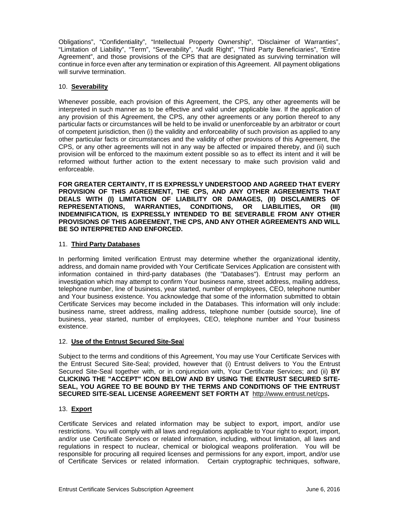Obligations", "Confidentiality", "Intellectual Property Ownership", "Disclaimer of Warranties", "Limitation of Liability", "Term", "Severability", "Audit Right", "Third Party Beneficiaries", "Entire Agreement", and those provisions of the CPS that are designated as surviving termination will continue in force even after any termination or expiration of this Agreement. All payment obligations will survive termination.

### 10. **Severability**

Whenever possible, each provision of this Agreement, the CPS, any other agreements will be interpreted in such manner as to be effective and valid under applicable law. If the application of any provision of this Agreement, the CPS, any other agreements or any portion thereof to any particular facts or circumstances will be held to be invalid or unenforceable by an arbitrator or court of competent jurisdiction, then (i) the validity and enforceability of such provision as applied to any other particular facts or circumstances and the validity of other provisions of this Agreement, the CPS, or any other agreements will not in any way be affected or impaired thereby, and (ii) such provision will be enforced to the maximum extent possible so as to effect its intent and it will be reformed without further action to the extent necessary to make such provision valid and enforceable.

**FOR GREATER CERTAINTY, IT IS EXPRESSLY UNDERSTOOD AND AGREED THAT EVERY PROVISION OF THIS AGREEMENT, THE CPS, AND ANY OTHER AGREEMENTS THAT DEALS WITH (I) LIMITATION OF LIABILITY OR DAMAGES, (II) DISCLAIMERS OF REPRESENTATIONS, WARRANTIES, CONDITIONS, OR LIABILITIES, OR (III) INDEMNIFICATION, IS EXPRESSLY INTENDED TO BE SEVERABLE FROM ANY OTHER PROVISIONS OF THIS AGREEMENT, THE CPS, AND ANY OTHER AGREEMENTS AND WILL BE SO INTERPRETED AND ENFORCED.** 

## 11. **Third Party Databases**

In performing limited verification Entrust may determine whether the organizational identity, address, and domain name provided with Your Certificate Services Application are consistent with information contained in third-party databases (the "Databases"). Entrust may perform an investigation which may attempt to confirm Your business name, street address, mailing address, telephone number, line of business, year started, number of employees, CEO, telephone number and Your business existence. You acknowledge that some of the information submitted to obtain Certificate Services may become included in the Databases. This information will only include: business name, street address, mailing address, telephone number (outside source), line of business, year started, number of employees, CEO, telephone number and Your business existence.

# 12. **Use of the Entrust Secured Site-Sea**l

Subject to the terms and conditions of this Agreement, You may use Your Certificate Services with the Entrust Secured Site-Seal; provided, however that (i) Entrust delivers to You the Entrust Secured Site-Seal together with, or in conjunction with, Your Certificate Services; and (ii) **BY CLICKING THE "ACCEPT" ICON BELOW AND BY USING THE ENTRUST SECURED SITE-SEAL, YOU AGREE TO BE BOUND BY THE TERMS AND CONDITIONS OF THE ENTRUST SECURED SITE-SEAL LICENSE AGREEMENT SET FORTH AT** http://www.entrust.net/cps**.**

# 13. **Export**

Certificate Services and related information may be subject to export, import, and/or use restrictions. You will comply with all laws and regulations applicable to Your right to export, import, and/or use Certificate Services or related information, including, without limitation, all laws and regulations in respect to nuclear, chemical or biological weapons proliferation. You will be responsible for procuring all required licenses and permissions for any export, import, and/or use of Certificate Services or related information. Certain cryptographic techniques, software,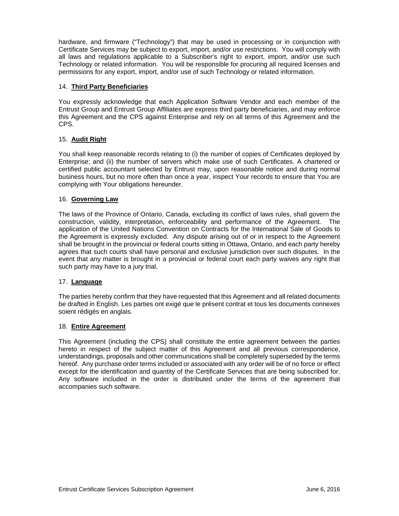hardware, and firmware ("Technology") that may be used in processing or in conjunction with Certificate Services may be subject to export, import, and/or use restrictions. You will comply with all laws and regulations applicable to a Subscriber's right to export, import, and/or use such Technology or related information. You will be responsible for procuring all required licenses and permissions for any export, import, and/or use of such Technology or related information.

### 14. **Third Party Beneficiaries**

You expressly acknowledge that each Application Software Vendor and each member of the Entrust Group and Entrust Group Affiliates are express third party beneficiaries, and may enforce this Agreement and the CPS against Enterprise and rely on all terms of this Agreement and the CPS.

## 15. **Audit Right**

You shall keep reasonable records relating to (i) the number of copies of Certificates deployed by Enterprise; and (ii) the number of servers which make use of such Certificates. A chartered or certified public accountant selected by Entrust may, upon reasonable notice and during normal business hours, but no more often than once a year, inspect Your records to ensure that You are complying with Your obligations hereunder.

## 16. **Governing Law**

The laws of the Province of Ontario, Canada, excluding its conflict of laws rules, shall govern the construction, validity, interpretation, enforceability and performance of the Agreement. The application of the United Nations Convention on Contracts for the International Sale of Goods to the Agreement is expressly excluded. Any dispute arising out of or in respect to the Agreement shall be brought in the provincial or federal courts sitting in Ottawa, Ontario, and each party hereby agrees that such courts shall have personal and exclusive jurisdiction over such disputes. In the event that any matter is brought in a provincial or federal court each party waives any right that such party may have to a jury trial.

#### 17. **Language**

The parties hereby confirm that they have requested that this Agreement and all related documents be drafted in English. Les parties ont exigé que le présent contrat et tous les documents connexes soient rédigés en anglais.

#### 18. **Entire Agreement**

This Agreement (including the CPS) shall constitute the entire agreement between the parties hereto in respect of the subject matter of this Agreement and all previous correspondence, understandings, proposals and other communications shall be completely superseded by the terms hereof. Any purchase order terms included or associated with any order will be of no force or effect except for the identification and quantity of the Certificate Services that are being subscribed for. Any software included in the order is distributed under the terms of the agreement that accompanies such software.